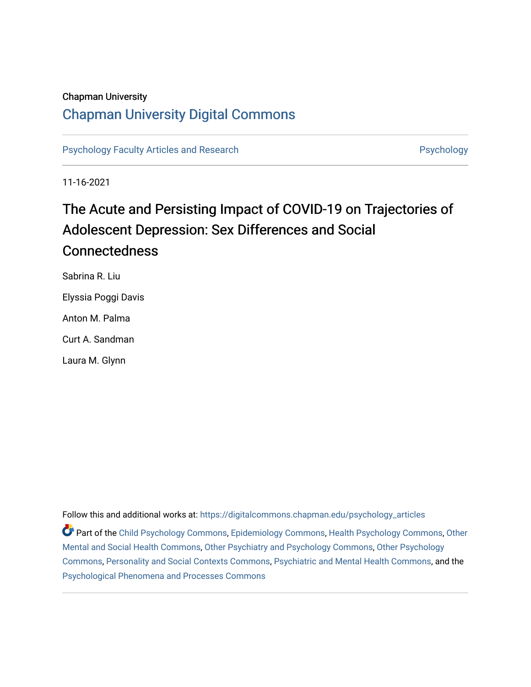## Chapman University

## [Chapman University Digital Commons](https://digitalcommons.chapman.edu/)

[Psychology Faculty Articles and Research](https://digitalcommons.chapman.edu/psychology_articles) **Psychology** Psychology

11-16-2021

# The Acute and Persisting Impact of COVID-19 on Trajectories of Adolescent Depression: Sex Differences and Social **Connectedness**

Sabrina R. Liu Elyssia Poggi Davis Anton M. Palma Curt A. Sandman Laura M. Glynn

Follow this and additional works at: [https://digitalcommons.chapman.edu/psychology\\_articles](https://digitalcommons.chapman.edu/psychology_articles?utm_source=digitalcommons.chapman.edu%2Fpsychology_articles%2F278&utm_medium=PDF&utm_campaign=PDFCoverPages)

Part of the [Child Psychology Commons,](http://network.bepress.com/hgg/discipline/1023?utm_source=digitalcommons.chapman.edu%2Fpsychology_articles%2F278&utm_medium=PDF&utm_campaign=PDFCoverPages) [Epidemiology Commons,](http://network.bepress.com/hgg/discipline/740?utm_source=digitalcommons.chapman.edu%2Fpsychology_articles%2F278&utm_medium=PDF&utm_campaign=PDFCoverPages) [Health Psychology Commons,](http://network.bepress.com/hgg/discipline/411?utm_source=digitalcommons.chapman.edu%2Fpsychology_articles%2F278&utm_medium=PDF&utm_campaign=PDFCoverPages) [Other](http://network.bepress.com/hgg/discipline/717?utm_source=digitalcommons.chapman.edu%2Fpsychology_articles%2F278&utm_medium=PDF&utm_campaign=PDFCoverPages) [Mental and Social Health Commons,](http://network.bepress.com/hgg/discipline/717?utm_source=digitalcommons.chapman.edu%2Fpsychology_articles%2F278&utm_medium=PDF&utm_campaign=PDFCoverPages) [Other Psychiatry and Psychology Commons](http://network.bepress.com/hgg/discipline/992?utm_source=digitalcommons.chapman.edu%2Fpsychology_articles%2F278&utm_medium=PDF&utm_campaign=PDFCoverPages), [Other Psychology](http://network.bepress.com/hgg/discipline/415?utm_source=digitalcommons.chapman.edu%2Fpsychology_articles%2F278&utm_medium=PDF&utm_campaign=PDFCoverPages) [Commons](http://network.bepress.com/hgg/discipline/415?utm_source=digitalcommons.chapman.edu%2Fpsychology_articles%2F278&utm_medium=PDF&utm_campaign=PDFCoverPages), [Personality and Social Contexts Commons,](http://network.bepress.com/hgg/discipline/413?utm_source=digitalcommons.chapman.edu%2Fpsychology_articles%2F278&utm_medium=PDF&utm_campaign=PDFCoverPages) [Psychiatric and Mental Health Commons](http://network.bepress.com/hgg/discipline/711?utm_source=digitalcommons.chapman.edu%2Fpsychology_articles%2F278&utm_medium=PDF&utm_campaign=PDFCoverPages), and the [Psychological Phenomena and Processes Commons](http://network.bepress.com/hgg/discipline/914?utm_source=digitalcommons.chapman.edu%2Fpsychology_articles%2F278&utm_medium=PDF&utm_campaign=PDFCoverPages)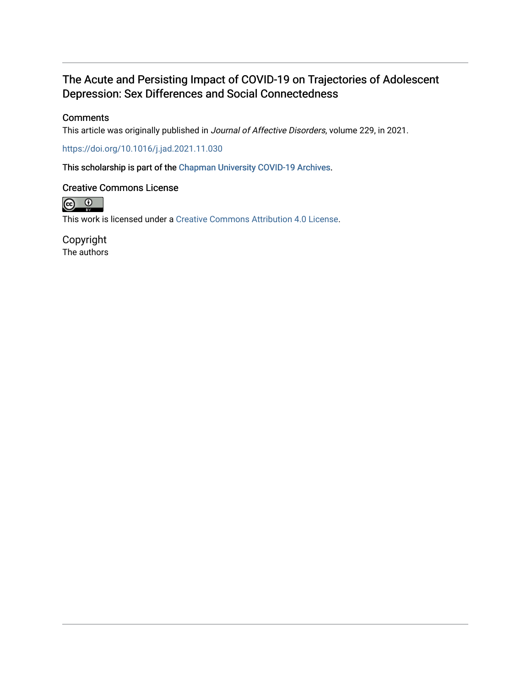## The Acute and Persisting Impact of COVID-19 on Trajectories of Adolescent Depression: Sex Differences and Social Connectedness

## **Comments**

This article was originally published in Journal of Affective Disorders, volume 229, in 2021.

<https://doi.org/10.1016/j.jad.2021.11.030>

This scholarship is part of the [Chapman University COVID-19 Archives](https://digitalcommons.chapman.edu/covid-19_archives/).

## Creative Commons License



This work is licensed under a [Creative Commons Attribution 4.0 License](https://creativecommons.org/licenses/by/4.0/).

Copyright The authors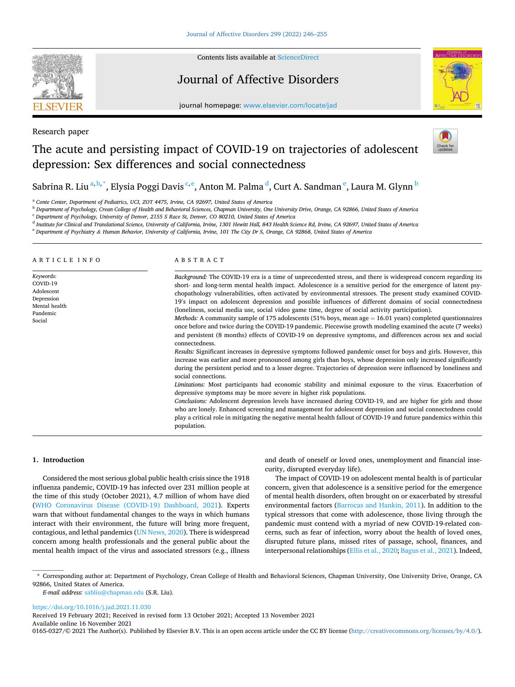

Research paper

Contents lists available at [ScienceDirect](www.sciencedirect.com/science/journal/01650327)

## Journal of Affective Disorders



journal homepage: [www.elsevier.com/locate/jad](https://www.elsevier.com/locate/jad)

## The acute and persisting impact of COVID-19 on trajectories of adolescent depression: Sex differences and social connectedness



## Sabrina R. Liu $^{\rm a,b, *},$  Elysia Poggi Davis  $^{\rm c,e}$ , Anton M. Palma  $^{\rm d}$ , Curt A. Sandman  $^{\rm e}$ , Laura M. Glynn  $^{\rm b}$

<sup>a</sup> *Conte Center, Department of Pediatrics, UCI, ZOT 4475, Irvine, CA 92697, United States of America* 

<sup>b</sup> *Department of Psychology, Crean College of Health and Behavioral Sciences, Chapman University, One University Drive, Orange, CA 92866, United States of America* 

<sup>c</sup> *Department of Psychology, University of Denver, 2155 S Race St, Denver, CO 80210, United States of America* 

<sup>d</sup> *Institute for Clinical and Translational Science, University of California, Irvine, 1301 Hewitt Hall, 843 Health Science Rd, Irvine, CA 92697, United States of America* 

<sup>e</sup> *Department of Psychiatry & Human Behavior, University of California, Irvine, 101 The City Dr S, Orange, CA 92868, United States of America* 

| ARTICLE INFO                                                                             | ABSTRACT                                                                                                                                                                                                                                                                                                                                                                                                                                                                                                                                                                                                                                                                                                                                                                                                                                                                                                                                                                                                                                                                                                                                                                                                                                                                                                                                                                                                                                                                                                                                                                                                                                                                                                                                                                                                                                                                  |
|------------------------------------------------------------------------------------------|---------------------------------------------------------------------------------------------------------------------------------------------------------------------------------------------------------------------------------------------------------------------------------------------------------------------------------------------------------------------------------------------------------------------------------------------------------------------------------------------------------------------------------------------------------------------------------------------------------------------------------------------------------------------------------------------------------------------------------------------------------------------------------------------------------------------------------------------------------------------------------------------------------------------------------------------------------------------------------------------------------------------------------------------------------------------------------------------------------------------------------------------------------------------------------------------------------------------------------------------------------------------------------------------------------------------------------------------------------------------------------------------------------------------------------------------------------------------------------------------------------------------------------------------------------------------------------------------------------------------------------------------------------------------------------------------------------------------------------------------------------------------------------------------------------------------------------------------------------------------------|
| Keywords:<br>COVID-19<br>Adolescent<br>Depression<br>Mental health<br>Pandemic<br>Social | Background: The COVID-19 era is a time of unprecedented stress, and there is widespread concern regarding its<br>short- and long-term mental health impact. Adolescence is a sensitive period for the emergence of latent psy-<br>chopathology vulnerabilities, often activated by environmental stressors. The present study examined COVID-<br>19's impact on adolescent depression and possible influences of different domains of social connectedness<br>(loneliness, social media use, social video game time, degree of social activity participation).<br><i>Methods:</i> A community sample of 175 adolescents (51% boys, mean age $= 16.01$ years) completed questionnaires<br>once before and twice during the COVID-19 pandemic. Piecewise growth modeling examined the acute (7 weeks)<br>and persistent (8 months) effects of COVID-19 on depressive symptoms, and differences across sex and social<br>connectedness.<br>Results: Significant increases in depressive symptoms followed pandemic onset for boys and girls. However, this<br>increase was earlier and more pronounced among girls than boys, whose depression only increased significantly<br>during the persistent period and to a lesser degree. Trajectories of depression were influenced by loneliness and<br>social connections.<br>Limitations: Most participants had economic stability and minimal exposure to the virus. Exacerbation of<br>depressive symptoms may be more severe in higher risk populations.<br>Conclusions: Adolescent depression levels have increased during COVID-19, and are higher for girls and those<br>who are lonely. Enhanced screening and management for adolescent depression and social connectedness could<br>play a critical role in mitigating the negative mental health fallout of COVID-19 and future pandemics within this<br>population. |

## **1. Introduction**

Considered the most serious global public health crisis since the 1918 influenza pandemic, COVID-19 has infected over 231 million people at the time of this study (October 2021), 4.7 million of whom have died ([WHO Coronavirus Disease \(COVID-19\) Dashboard, 2021\)](#page-11-0). Experts warn that without fundamental changes to the ways in which humans interact with their environment, the future will bring more frequent, contagious, and lethal pandemics [\(UN News, 2020](#page-11-0)). There is widespread concern among health professionals and the general public about the mental health impact of the virus and associated stressors (e.g., illness and death of oneself or loved ones, unemployment and financial insecurity, disrupted everyday life).

The impact of COVID-19 on adolescent mental health is of particular concern, given that adolescence is a sensitive period for the emergence of mental health disorders, often brought on or exacerbated by stressful environmental factors ([Barrocas and Hankin, 2011](#page-10-0)). In addition to the typical stressors that come with adolescence, those living through the pandemic must contend with a myriad of new COVID-19-related concerns, such as fear of infection, worry about the health of loved ones, disrupted future plans, missed rites of passage, school, finances, and interpersonal relationships ([Ellis et al., 2020; Bagus et al., 2021\)](#page-10-0). Indeed,

<https://doi.org/10.1016/j.jad.2021.11.030>

Available online 16 November 2021 0165-0327/© 2021 The Author(s). Published by Elsevier B.V. This is an open access article under the CC BY license [\(http://creativecommons.org/licenses/by/4.0/\)](http://creativecommons.org/licenses/by/4.0/). Received 19 February 2021; Received in revised form 13 October 2021; Accepted 13 November 2021

<sup>\*</sup> Corresponding author at: Department of Psychology, Crean College of Health and Behavioral Sciences, Chapman University, One University Drive, Orange, CA 92866, United States of America.

*E-mail address:* [sabliu@chapman.edu](mailto:sabliu@chapman.edu) (S.R. Liu).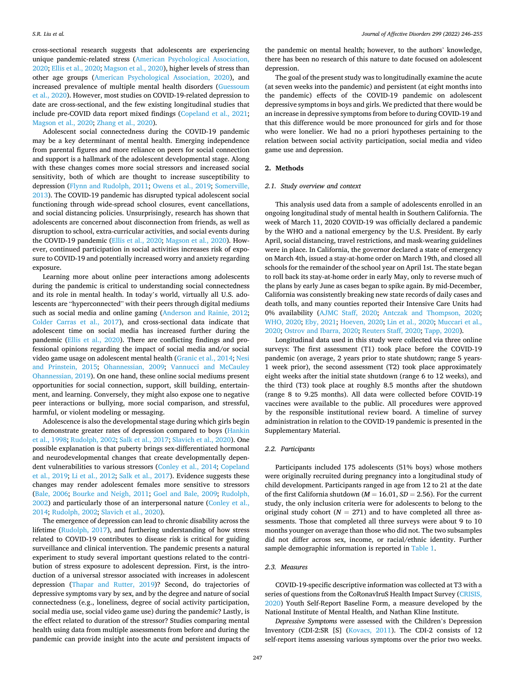cross-sectional research suggests that adolescents are experiencing unique pandemic-related stress ([American Psychological Association,](#page-10-0)  [2020; Ellis et al., 2020](#page-10-0); [Magson et al., 2020\)](#page-11-0), higher levels of stress than other age groups [\(American Psychological Association, 2020\)](#page-10-0), and increased prevalence of multiple mental health disorders ([Guessoum](#page-10-0)  [et al., 2020](#page-10-0)). However, most studies on COVID-19-related depression to date are cross-sectional, and the few existing longitudinal studies that include pre-COVID data report mixed findings [\(Copeland et al., 2021](#page-10-0); [Magson et al., 2020](#page-11-0); [Zhang et al., 2020\)](#page-11-0).

Adolescent social connectedness during the COVID-19 pandemic may be a key determinant of mental health. Emerging independence from parental figures and more reliance on peers for social connection and support is a hallmark of the adolescent developmental stage. Along with these changes comes more social stressors and increased social sensitivity, both of which are thought to increase susceptibility to depression ([Flynn and Rudolph, 2011;](#page-10-0) [Owens et al., 2019;](#page-11-0) [Somerville,](#page-11-0)  [2013\)](#page-11-0). The COVID-19 pandemic has disrupted typical adolescent social functioning through wide-spread school closures, event cancellations, and social distancing policies. Unsurprisingly, research has shown that adolescents are concerned about disconnection from friends, as well as disruption to school, extra-curricular activities, and social events during the COVID-19 pandemic [\(Ellis et al., 2020](#page-10-0); [Magson et al., 2020\)](#page-11-0). However, continued participation in social activities increases risk of exposure to COVID-19 and potentially increased worry and anxiety regarding exposure.

Learning more about online peer interactions among adolescents during the pandemic is critical to understanding social connectedness and its role in mental health. In today's world, virtually all U.S. adolescents are "hyperconnected" with their peers through digital mediums such as social media and online gaming [\(Anderson and Rainie, 2012](#page-10-0); [Colder Carras et al., 2017\)](#page-10-0), and cross-sectional data indicate that adolescent time on social media has increased further during the pandemic [\(Ellis et al., 2020\)](#page-10-0). There are conflicting findings and professional opinions regarding the impact of social media and/or social video game usage on adolescent mental health ([Granic et al., 2014](#page-10-0); [Nesi](#page-11-0)  [and Prinstein, 2015;](#page-11-0) [Ohannessian, 2009](#page-11-0); [Vannucci and McCauley](#page-11-0)  [Ohannessian, 2019\)](#page-11-0). On one hand, these online social mediums present opportunities for social connection, support, skill building, entertainment, and learning. Conversely, they might also expose one to negative peer interactions or bullying, more social comparison, and stressful, harmful, or violent modeling or messaging.

Adolescence is also the developmental stage during which girls begin to demonstrate greater rates of depression compared to boys ([Hankin](#page-11-0)  [et al., 1998](#page-11-0); [Rudolph, 2002](#page-11-0); [Salk et al., 2017](#page-11-0); [Slavich et al., 2020](#page-11-0)). One possible explanation is that puberty brings sex-differentiated hormonal and neurodevelopmental changes that create developmentally dependent vulnerabilities to various stressors ([Conley et al., 2014;](#page-10-0) [Copeland](#page-10-0)  [et al., 2019](#page-10-0); [Li et al., 2012](#page-11-0); [Salk et al., 2017](#page-11-0)). Evidence suggests these changes may render adolescent females more sensitive to stressors ([Bale, 2006;](#page-10-0) [Bourke and Neigh, 2011](#page-10-0); [Goel and Bale, 2009](#page-10-0); [Rudolph,](#page-11-0)  [2002\)](#page-11-0) and particularly those of an interpersonal nature [\(Conley et al.,](#page-10-0)  [2014;](#page-10-0) [Rudolph, 2002; Slavich et al., 2020](#page-11-0)).

The emergence of depression can lead to chronic disability across the lifetime ([Rudolph, 2017](#page-11-0)), and furthering understanding of how stress related to COVID-19 contributes to disease risk is critical for guiding surveillance and clinical intervention. The pandemic presents a natural experiment to study several important questions related to the contribution of stress exposure to adolescent depression. First, is the introduction of a universal stressor associated with increases in adolescent depression [\(Thapar and Rutter, 2019\)](#page-11-0)? Second, do trajectories of depressive symptoms vary by sex, and by the degree and nature of social connectedness (e.g., loneliness, degree of social activity participation, social media use, social video game use) during the pandemic? Lastly, is the effect related to duration of the stressor? Studies comparing mental health using data from multiple assessments from before and during the pandemic can provide insight into the acute *and* persistent impacts of the pandemic on mental health; however, to the authors' knowledge, there has been no research of this nature to date focused on adolescent depression.

The goal of the present study was to longitudinally examine the acute (at seven weeks into the pandemic) and persistent (at eight months into the pandemic) effects of the COVID-19 pandemic on adolescent depressive symptoms in boys and girls. We predicted that there would be an increase in depressive symptoms from before to during COVID-19 and that this difference would be more pronounced for girls and for those who were lonelier. We had no a priori hypotheses pertaining to the relation between social activity participation, social media and video game use and depression.

## **2. Methods**

### *2.1. Study overview and context*

This analysis used data from a sample of adolescents enrolled in an ongoing longitudinal study of mental health in Southern California. The week of March 11, 2020 COVID-19 was officially declared a pandemic by the WHO and a national emergency by the U.S. President. By early April, social distancing, travel restrictions, and mask-wearing guidelines were in place. In California, the governor declared a state of emergency on March 4th, issued a stay-at-home order on March 19th, and closed all schools for the remainder of the school year on April 1st. The state began to roll back its stay-at-home order in early May, only to reverse much of the plans by early June as cases began to spike again. By mid-December, California was consistently breaking new state records of daily cases and death tolls, and many counties reported their Intensive Care Units had 0% availability ([AJMC Staff, 2020](#page-10-0); [Antczak and Thompson, 2020](#page-10-0); [WHO, 2020](#page-11-0); [Eby, 2021](#page-10-0); [Hoeven, 2020](#page-11-0); [Lin et al., 2020;](#page-11-0) [Muccari et al.,](#page-11-0)  [2020; Ostrov and Ibarra, 2020](#page-11-0); [Reuters Staff, 2020; Tapp, 2020](#page-11-0)).

Longitudinal data used in this study were collected via three online surveys: The first assessment (T1) took place before the COVID-19 pandemic (on average, 2 years prior to state shutdown; range 5 years-1 week prior), the second assessment (T2) took place approximately eight weeks after the initial state shutdown (range 6 to 12 weeks), and the third (T3) took place at roughly 8.5 months after the shutdown (range 8 to 9.25 months). All data were collected before COVID-19 vaccines were available to the public. All procedures were approved by the responsible institutional review board. A timeline of survey administration in relation to the COVID-19 pandemic is presented in the Supplementary Material.

## *2.2. Participants*

Participants included 175 adolescents (51% boys) whose mothers were originally recruited during pregnancy into a longitudinal study of child development. Participants ranged in age from 12 to 21 at the date of the first California shutdown ( $M = 16.01$ ,  $SD = 2.56$ ). For the current study, the only inclusion criteria were for adolescents to belong to the original study cohort  $(N = 271)$  and to have completed all three assessments. Those that completed all three surveys were about 9 to 10 months younger on average than those who did not. The two subsamples did not differ across sex, income, or racial/ethnic identity. Further sample demographic information is reported in [Table 1](#page-4-0).

### *2.3. Measures*

COVID-19-specific descriptive information was collected at T3 with a series of questions from the CoRonavIruS Health Impact Survey ([CRISIS,](#page-11-0)  [2020\)](#page-11-0) Youth Self-Report Baseline Form, a measure developed by the National Institute of Mental Health, and Nathan Kline Institute.

*Depressive Symptoms* were assessed with the Children's Depression Inventory (CDI-2:SR [S] [\(Kovacs, 2011\)](#page-11-0). The CDI-2 consists of 12 self-report items assessing various symptoms over the prior two weeks.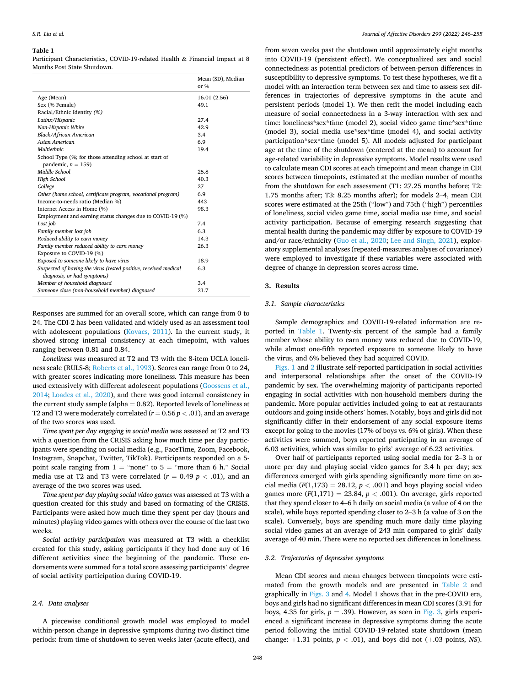#### <span id="page-4-0"></span>**Table 1**

Participant Characteristics, COVID-19-related Health & Financial Impact at 8 Months Post State Shutdown.

|                                                                  | Mean (SD), Median<br>or $%$ |
|------------------------------------------------------------------|-----------------------------|
| Age (Mean)                                                       | 16.01 (2.56)                |
| Sex (% Female)                                                   | 49.1                        |
| Racial/Ethnic Identity (%)                                       |                             |
| Latinx/Hispanic                                                  | 27.4                        |
| Non-Hispanic White                                               | 42.9                        |
| <b>Black/African American</b>                                    | 3.4                         |
| Asian American                                                   | 6.9                         |
| <b>Multiethnic</b>                                               | 19.4                        |
| School Type (%; for those attending school at start of           |                             |
| pandemic, $n = 159$ )                                            |                             |
| Middle School                                                    | 25.8                        |
| High School                                                      | 40.3                        |
| College                                                          | 27                          |
| Other (home school, certificate program, vocational program)     | 6.9                         |
| Income-to-needs ratio (Median %)                                 | 443                         |
| Internet Access in Home (%)                                      | 98.3                        |
| Employment and earning status changes due to COVID-19 (%)        |                             |
| Lost job                                                         | 7.4                         |
| Family member lost job                                           | 6.3                         |
| Reduced ability to earn money                                    | 14.3                        |
| Family member reduced ability to earn money                      | 26.3                        |
| Exposure to COVID-19 (%)                                         |                             |
| Exposed to someone likely to have virus                          | 18.9                        |
| Suspected of having the virus (tested positive, received medical | 6.3                         |
| diagnosis, or had symptoms)                                      |                             |
| Member of household diagnosed                                    | 3.4                         |
| Someone close (non-household member) diagnosed                   | 21.7                        |

Responses are summed for an overall score, which can range from 0 to 24. The CDI-2 has been validated and widely used as an assessment tool with adolescent populations [\(Kovacs, 2011\)](#page-11-0). In the current study, it showed strong internal consistency at each timepoint, with values ranging between 0.81 and 0.84.

*Loneliness* was measured at T2 and T3 with the 8-item UCLA loneliness scale (RULS-8; [Roberts et al., 1993](#page-11-0)). Scores can range from 0 to 24, with greater scores indicating more loneliness. This measure has been used extensively with different adolescent populations [\(Goossens et al.,](#page-10-0)  [2014;](#page-10-0) [Loades et al., 2020\)](#page-11-0), and there was good internal consistency in the current study sample (alpha = 0.82). Reported levels of loneliness at T2 and T3 were moderately correlated (*r* = 0.56 *p <* .01), and an average of the two scores was used.

*Time spent per day engaging in social media* was assessed at T2 and T3 with a question from the CRISIS asking how much time per day participants were spending on social media (e.g., FaceTime, Zoom, Facebook, Instagram, Snapchat, Twitter, TikTok). Participants responded on a 5 point scale ranging from  $1 =$  "none" to  $5 =$  "more than 6 h." Social media use at T2 and T3 were correlated  $(r = 0.49 \, p < .01)$ , and an average of the two scores was used.

*Time spent per day playing social video games* was assessed at T3 with a question created for this study and based on formating of the CRISIS. Participants were asked how much time they spent per day (hours and minutes) playing video games with others over the course of the last two weeks.

*Social activity participation* was measured at T3 with a checklist created for this study, asking participants if they had done any of 16 different activities since the beginning of the pandemic. These endorsements were summed for a total score assessing participants' degree of social activity participation during COVID-19.

## *2.4. Data analyses*

A piecewise conditional growth model was employed to model within-person change in depressive symptoms during two distinct time periods: from time of shutdown to seven weeks later (acute effect), and

from seven weeks past the shutdown until approximately eight months into COVID-19 (persistent effect). We conceptualized sex and social connectedness as potential predictors of between-person differences in susceptibility to depressive symptoms. To test these hypotheses, we fit a model with an interaction term between sex and time to assess sex differences in trajectories of depressive symptoms in the acute and persistent periods (model 1). We then refit the model including each measure of social connectedness in a 3-way interaction with sex and time: loneliness\*sex\*time (model 2), social video game time\*sex\*time (model 3), social media use\*sex\*time (model 4), and social activity participation\*sex\*time (model 5). All models adjusted for participant age at the time of the shutdown (centered at the mean) to account for age-related variability in depressive symptoms. Model results were used to calculate mean CDI scores at each timepoint and mean change in CDI scores between timepoints, estimated at the median number of months from the shutdown for each assessment (T1: 27.25 months before; T2: 1.75 months after; T3: 8.25 months after); for models 2–4, mean CDI scores were estimated at the 25th ("low") and 75th ("high") percentiles of loneliness, social video game time, social media use time, and social activity participation. Because of emerging research suggesting that mental health during the pandemic may differ by exposure to COVID-19 and/or race/ethnicity [\(Guo et al., 2020;](#page-10-0) [Lee and Singh, 2021](#page-11-0)), exploratory supplemental analyses (repeated-measures analyses of covariance) were employed to investigate if these variables were associated with degree of change in depression scores across time.

## **3. Results**

### *3.1. Sample characteristics*

Sample demographics and COVID-19-related information are reported in Table 1. Twenty-six percent of the sample had a family member whose ability to earn money was reduced due to COVID-19, while almost one-fifth reported exposure to someone likely to have the virus, and 6% believed they had acquired COVID.

[Figs. 1](#page-5-0) and [2](#page-6-0) illustrate self-reported participation in social activities and interpersonal relationships after the onset of the COVID-19 pandemic by sex. The overwhelming majority of participants reported engaging in social activities with non-household members during the pandemic. More popular activities included going to eat at restaurants outdoors and going inside others' homes. Notably, boys and girls did not significantly differ in their endorsement of any social exposure items except for going to the movies (17% of boys vs. 6% of girls). When these activities were summed, boys reported participating in an average of 6.03 activities, which was similar to girls' average of 6.23 activities.

Over half of participants reported using social media for 2–3 h or more per day and playing social video games for 3.4 h per day; sex differences emerged with girls spending significantly more time on social media  $(F(1,173) = 28.12, p < .001)$  and boys playing social video games more  $(F(1,171) = 23.84, p < .001)$ . On average, girls reported that they spend closer to 4–6 h daily on social media (a value of 4 on the scale), while boys reported spending closer to 2–3 h (a value of 3 on the scale). Conversely, boys are spending much more daily time playing social video games at an average of 243 min compared to girls' daily average of 40 min. There were no reported sex differences in loneliness.

### *3.2. Trajectories of depressive symptoms*

Mean CDI scores and mean changes between timepoints were estimated from the growth models and are presented in [Table 2](#page-7-0) and graphically in [Figs. 3](#page-8-0) and [4.](#page-8-0) Model 1 shows that in the pre-COVID era, boys and girls had no significant differences in mean CDI scores (3.91 for boys, 4.35 for girls,  $p = .39$ ). However, as seen in [Fig. 3](#page-8-0), girls experienced a significant increase in depressive symptoms during the acute period following the initial COVID-19-related state shutdown (mean change:  $+1.31$  points,  $p < .01$ ), and boys did not  $(+.03$  points, *NS*).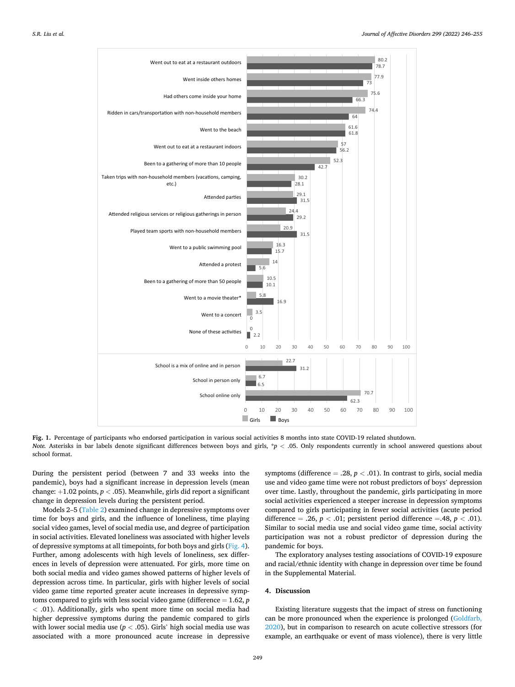<span id="page-5-0"></span>

**Fig. 1.** Percentage of participants who endorsed participation in various social activities 8 months into state COVID-19 related shutdown. *Note.* Asterisks in bar labels denote significant differences between boys and girls, \*p < .05. Only respondents currently in school answered questions about school format.

During the persistent period (between 7 and 33 weeks into the pandemic), boys had a significant increase in depression levels (mean change: +1.02 points, *p <* .05). Meanwhile, girls did report a significant change in depression levels during the persistent period.

Models 2–5 ([Table 2](#page-7-0)) examined change in depressive symptoms over time for boys and girls, and the influence of loneliness, time playing social video games, level of social media use, and degree of participation in social activities. Elevated loneliness was associated with higher levels of depressive symptoms at all timepoints, for both boys and girls [\(Fig. 4](#page-8-0)). Further, among adolescents with high levels of loneliness, sex differences in levels of depression were attenuated. For girls, more time on both social media and video games showed patterns of higher levels of depression across time. In particular, girls with higher levels of social video game time reported greater acute increases in depressive symptoms compared to girls with less social video game (difference = 1.62, *p <* .01). Additionally, girls who spent more time on social media had higher depressive symptoms during the pandemic compared to girls with lower social media use ( $p < .05$ ). Girls' high social media use was associated with a more pronounced acute increase in depressive

symptoms (difference  $= .28, p < .01$ ). In contrast to girls, social media use and video game time were not robust predictors of boys' depression over time. Lastly, throughout the pandemic, girls participating in more social activities experienced a steeper increase in depression symptoms compared to girls participating in fewer social activities (acute period difference = .26,  $p < .01$ ; persistent period difference = .48,  $p < .01$ ). Similar to social media use and social video game time, social activity participation was not a robust predictor of depression during the pandemic for boys.

The exploratory analyses testing associations of COVID-19 exposure and racial/ethnic identity with change in depression over time be found in the Supplemental Material.

## **4. Discussion**

Existing literature suggests that the impact of stress on functioning can be more pronounced when the experience is prolonged ([Goldfarb,](#page-10-0)  [2020\)](#page-10-0), but in comparison to research on acute collective stressors (for example, an earthquake or event of mass violence), there is very little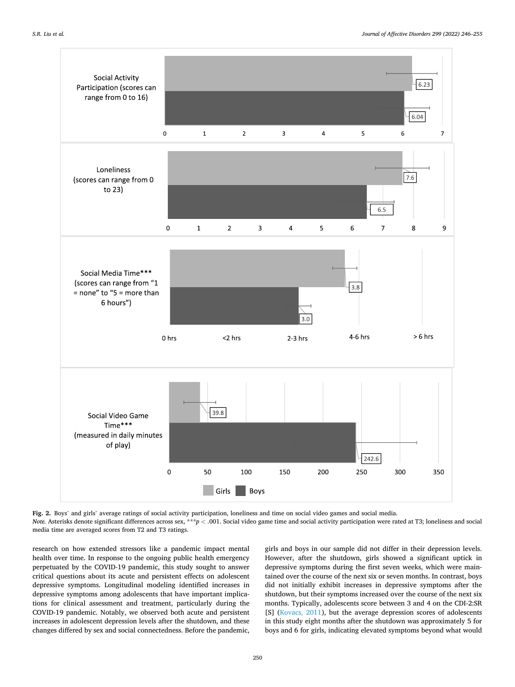<span id="page-6-0"></span>

**Fig. 2.** Boys' and girls' average ratings of social activity participation, loneliness and time on social video games and social media. *Note.* Asterisks denote significant differences across sex, \*\*\**p* < .001. Social video game time and social activity participation were rated at T3; loneliness and social media time are averaged scores from T2 and T3 ratings.

research on how extended stressors like a pandemic impact mental health over time. In response to the ongoing public health emergency perpetuated by the COVID-19 pandemic, this study sought to answer critical questions about its acute and persistent effects on adolescent depressive symptoms. Longitudinal modeling identified increases in depressive symptoms among adolescents that have important implications for clinical assessment and treatment, particularly during the COVID-19 pandemic. Notably, we observed both acute and persistent increases in adolescent depression levels after the shutdown, and these changes differed by sex and social connectedness. Before the pandemic, girls and boys in our sample did not differ in their depression levels. However, after the shutdown, girls showed a significant uptick in depressive symptoms during the first seven weeks, which were maintained over the course of the next six or seven months. In contrast, boys did not initially exhibit increases in depressive symptoms after the shutdown, but their symptoms increased over the course of the next six months. Typically, adolescents score between 3 and 4 on the CDI-2:SR [S] ([Kovacs, 2011](#page-11-0)), but the average depression scores of adolescents in this study eight months after the shutdown was approximately 5 for boys and 6 for girls, indicating elevated symptoms beyond what would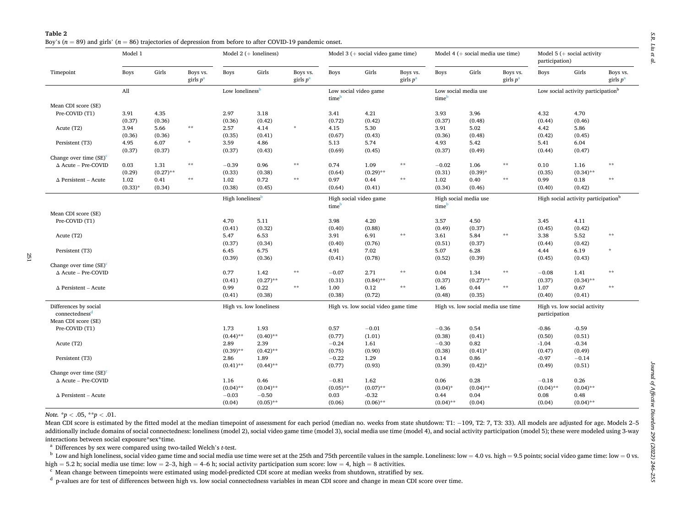<span id="page-7-0"></span>

| Table 2 |                                                                                                                     |
|---------|---------------------------------------------------------------------------------------------------------------------|
|         | Boy's ( $n = 89$ ) and girls' ( $n = 86$ ) trajectories of depression from before to after COVID-19 pandemic onset. |

|                                    | Model 1      |             |                         | Model $2 (+$ loneliness)    |                              | Model 3 ( $+$ social video game time) |                                     |             | Model 4 ( $+$ social media use time)       |                                    |              | Model 5 ( $+$ social activity<br>participation) |                                                |             |                         |
|------------------------------------|--------------|-------------|-------------------------|-----------------------------|------------------------------|---------------------------------------|-------------------------------------|-------------|--------------------------------------------|------------------------------------|--------------|-------------------------------------------------|------------------------------------------------|-------------|-------------------------|
| Timepoint                          | <b>Boys</b>  | Girls       | Boys vs.<br>girls $p^a$ | <b>Boys</b>                 | Girls                        | Boys vs.<br>girls $p^a$               | Boys                                | Girls       | Boys vs.<br>girls $p^a$                    | <b>Boys</b>                        | Girls        | Boys vs.<br>girls $p^a$                         | Boys                                           | Girls       | Boys vs.<br>girls $p^a$ |
|                                    | All          |             |                         | Low loneliness <sup>b</sup> |                              |                                       | Low social video game<br>time       |             |                                            | Low social media use<br>time       |              |                                                 | Low social activity participation <sup>b</sup> |             |                         |
| Mean CDI score (SE)                |              |             |                         |                             |                              |                                       |                                     |             |                                            |                                    |              |                                                 |                                                |             |                         |
| Pre-COVID (T1)                     | 3.91         | 4.35        |                         | 2.97                        | 3.18                         |                                       | 3.41                                | 4.21        |                                            | 3.93                               | 3.96         |                                                 | 4.32                                           | 4.70        |                         |
|                                    | (0.37)       | (0.36)      |                         | (0.36)                      | (0.42)                       |                                       | (0.72)                              | (0.42)      |                                            | (0.37)                             | (0.48)       |                                                 | (0.44)                                         | (0.46)      |                         |
| Acute (T2)                         | 3.94         | 5.66        | $**$                    | 2.57                        | 4.14                         | $\dot{\mathbf{x}}$                    | 4.15                                | 5.30        |                                            | 3.91                               | 5.02         |                                                 | 4.42                                           | 5.86        |                         |
|                                    | (0.36)       | (0.36)      |                         | (0.35)                      | (0.41)                       |                                       | (0.67)                              | (0.43)      |                                            | (0.36)                             | (0.48)       |                                                 | (0.42)                                         | (0.45)      |                         |
| Persistent (T3)                    | 4.95         | 6.07        | $\star$                 | 3.59                        | 4.86                         |                                       | 5.13                                | 5.74        |                                            | 4.93                               | 5.42         |                                                 | 5.41                                           | 6.04        |                         |
|                                    | (0.37)       | (0.37)      |                         | (0.37)                      | (0.43)                       |                                       | (0.69)                              | (0.45)      |                                            | (0.37)                             | (0.49)       |                                                 | (0.44)                                         | (0.47)      |                         |
| Change over time (SE) <sup>c</sup> |              |             |                         |                             |                              |                                       |                                     |             |                                            |                                    |              |                                                 |                                                |             |                         |
| $\Delta$ Acute - Pre-COVID         | 0.03         | 1.31        | $**$                    | $-0.39$                     | 0.96                         | $\star\star$                          | 0.74                                | 1.09        | $\star\star$                               | $-0.02$                            | 1.06         | $\star\star$                                    | 0.10                                           | 1.16        | $* *$                   |
|                                    | (0.29)       | $(0.27)$ ** |                         | (0.33)                      | (0.38)                       |                                       | (0.64)                              | $(0.29)$ ** |                                            | (0.31)                             | $(0.39)$ *   |                                                 | (0.35)                                         | $(0.34)$ ** |                         |
| $\Delta$ Persistent – Acute        | 1.02         | 0.41        | $\star\star$            | 1.02                        | 0.72                         | $\star\star$                          | 0.97                                | 0.44        | $\star\star$                               | 1.02                               | 0.40         | $\pm\pm$                                        | 0.99                                           | 0.18        | **                      |
|                                    | $(0.33)^{*}$ | (0.34)      |                         | (0.38)                      | (0.45)                       |                                       | (0.64)                              | (0.41)      |                                            | (0.34)                             | (0.46)       |                                                 | (0.40)                                         | (0.42)      |                         |
|                                    |              |             |                         |                             | High loneliness <sup>b</sup> |                                       | High social video game<br>time      |             | High social media use<br>time <sup>b</sup> |                                    |              | High social activity participation <sup>b</sup> |                                                |             |                         |
| Mean CDI score (SE)                |              |             |                         |                             |                              |                                       |                                     |             |                                            |                                    |              |                                                 |                                                |             |                         |
| Pre-COVID (T1)                     |              |             |                         | 4.70                        | 5.11                         |                                       | 3.98                                | 4.20        |                                            | 3.57                               | 4.50         |                                                 | 3.45                                           | 4.11        |                         |
|                                    |              |             |                         | (0.41)                      | (0.32)                       |                                       | (0.40)                              | (0.88)      |                                            | (0.49)                             | (0.37)       |                                                 | (0.45)                                         | (0.42)      |                         |
| Acute (T2)                         |              |             |                         | 5.47                        | 6.53                         |                                       | 3.91                                | 6.91        | $\star\star$                               | 3.61                               | 5.84         | $\star\star$                                    | 3.38                                           | 5.52        | $* *$                   |
|                                    |              |             |                         | (0.37)                      | (0.34)                       |                                       | (0.40)                              | (0.76)      |                                            | (0.51)                             | (0.37)       |                                                 | (0.44)                                         | (0.42)      |                         |
| Persistent (T3)                    |              |             |                         | 6.45                        | 6.75                         |                                       | 4.91                                | 7.02        |                                            | 5.07                               | 6.28         |                                                 | 4.44                                           | 6.19        |                         |
|                                    |              |             |                         | (0.39)                      | (0.36)                       |                                       | (0.41)                              | (0.78)      |                                            | (0.52)                             | (0.39)       |                                                 | (0.45)                                         | (0.43)      |                         |
| Change over time $(SE)^{c}$        |              |             |                         |                             |                              |                                       |                                     |             |                                            |                                    |              |                                                 |                                                |             |                         |
| $\Delta$ Acute - Pre-COVID         |              |             |                         | 0.77                        | 1.42                         | $\star\star$                          | $-0.07$                             | 2.71        | $\star\star$                               | 0.04                               | 1.34         | $\star\star$                                    | $-0.08$                                        | 1.41        | $\star\star$            |
|                                    |              |             |                         | (0.41)                      | $(0.27)$ **                  |                                       | (0.31)                              | $(0.84)$ ** |                                            | (0.37)                             | $(0.27)$ **  |                                                 | (0.37)                                         | $(0.34)$ ** |                         |
| $\Delta$ Persistent – Acute        |              |             |                         | 0.99                        | 0.22                         | $\star\star$                          | 1.00                                | 0.12        | $\star\star$                               | 1.46                               | 0.44         | $\star\star$                                    | 1.07                                           | 0.67        | $* *$                   |
|                                    |              |             |                         | (0.41)                      | (0.38)                       |                                       | (0.38)                              | (0.72)      |                                            | (0.48)                             | (0.35)       |                                                 | (0.40)                                         | (0.41)      |                         |
| Differences by social              |              |             |                         | High vs. low loneliness     |                              |                                       | High vs. low social video game time |             |                                            | High vs. low social media use time |              |                                                 | High vs. low social activity                   |             |                         |
| connectedness <sup>d</sup>         |              |             |                         |                             |                              |                                       |                                     |             |                                            |                                    |              |                                                 | participation                                  |             |                         |
| Mean CDI score (SE)                |              |             |                         |                             |                              |                                       |                                     |             |                                            |                                    |              |                                                 |                                                |             |                         |
| Pre-COVID (T1)                     |              |             |                         | 1.73                        | 1.93                         |                                       | 0.57                                | $-0.01$     |                                            | $-0.36$                            | 0.54         |                                                 | $-0.86$                                        | $-0.59$     |                         |
|                                    |              |             |                         | $(0.44)$ **                 | $(0.40)$ **                  |                                       | (0.77)                              | (1.01)      |                                            | (0.38)                             | (0.41)       |                                                 | (0.50)                                         | (0.51)      |                         |
| Acute (T2)                         |              |             |                         | 2.89                        | 2.39                         |                                       | $-0.24$                             | 1.61        |                                            | $-0.30$                            | 0.82         |                                                 | $-1.04$                                        | $-0.34$     |                         |
|                                    |              |             |                         | $(0.39)$ **                 | $(0.42)$ **                  |                                       | (0.75)                              | (0.90)      |                                            | (0.38)                             | $(0.41)^*$   |                                                 | (0.47)                                         | (0.49)      |                         |
| Persistent (T3)                    |              |             |                         | 2.86                        | 1.89                         |                                       | $-0.22$                             | 1.29        |                                            | 0.14                               | 0.86         |                                                 | $-0.97$                                        | $-0.14$     |                         |
|                                    |              |             |                         | $(0.41)$ **                 | $(0.44)$ **                  |                                       | (0.77)                              | (0.93)      |                                            | (0.39)                             | $(0.42)^{*}$ |                                                 | (0.49)                                         | (0.51)      |                         |
| Change over time (SE) <sup>c</sup> |              |             |                         |                             |                              |                                       |                                     |             |                                            |                                    |              |                                                 |                                                |             |                         |
| $\Delta$ Acute - Pre-COVID         |              |             |                         | 1.16                        | 0.46                         |                                       | $-0.81$                             | 1.62        |                                            | 0.06                               | 0.28         |                                                 | $-0.18$                                        | 0.26        |                         |
|                                    |              |             |                         | $(0.04)$ **                 | $(0.04)$ **                  |                                       | $(0.05)$ **                         | $(0.07)$ ** |                                            | $(0.04)$ *                         | $(0.04)$ **  |                                                 | $(0.04)$ **                                    | $(0.04)$ ** |                         |
| $\Delta$ Persistent – Acute        |              |             |                         | $-0.03$                     | $-0.50$                      |                                       | 0.03                                | $-0.32$     |                                            | 0.44                               | 0.04         |                                                 | 0.08                                           | 0.48        |                         |
|                                    |              |             |                         | (0.04)                      | $(0.05)$ **                  |                                       | (0.06)                              | $(0.06)$ ** |                                            | $(0.04)$ **                        | (0.04)       |                                                 | (0.04)                                         | $(0.04)$ ** |                         |

*Note.* \**p <sup>&</sup>lt;* .05, \*\**p <sup>&</sup>lt;* .01.

Mean CDI score is estimated by the fitted model at the median timepoint of assessment for each period (median no. weeks from state shutdown: T1: −109, T2: 7, T3: 33). All models are adjusted for age. Models 2–5 additionally include domains of social connectedness: loneliness (model 2), social video game time (model 3), social media use time (model 4), and social activity participation (model 5); these were modeled using 3-way interactions between social exposure\*sex\*time.

a Differences by sex were compared using two-tailed Welch's *t*-test.

 $\rm^b$  Low and high loneliness, social video game time and social media use time were set at the 25th and 75th percentile values in the sample. Loneliness: low = 4.0 vs. high = 9.5 points; social video game time: low = 0 high = 5.2 h; social media use time: low = 2–3, high = 4–6 h; social activity participation sum score: low = 4, high = 8 activities.

 $\rm c$  Mean change between timepoints were estimated using model-predicted CDI score at median weeks from shutdown, stratified by sex.

<sup>d</sup> p-values are for test of differences between high vs. low social connectedness variables in mean CDI score and change in mean CDI score over time.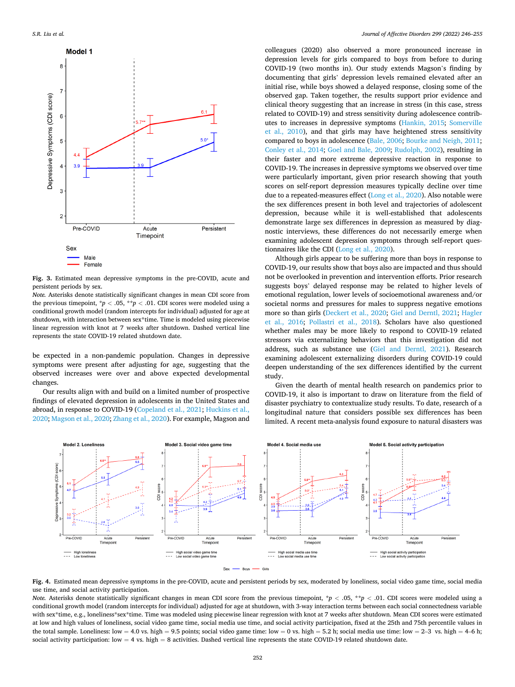<span id="page-8-0"></span>

**Fig. 3.** Estimated mean depressive symptoms in the pre-COVID, acute and persistent periods by sex.

*Note.* Asterisks denote statistically significant changes in mean CDI score from the previous timepoint,  $\frac{p}{p}$  < .05,  $\frac{p}{p}$  < .01. CDI scores were modeled using a conditional growth model (random intercepts for individual) adjusted for age at shutdown, with interaction between sex\*time. Time is modeled using piecewise linear regression with knot at 7 weeks after shutdown. Dashed vertical line represents the state COVID-19 related shutdown date.

be expected in a non-pandemic population. Changes in depressive symptoms were present after adjusting for age, suggesting that the observed increases were over and above expected developmental changes.

Our results align with and build on a limited number of prospective findings of elevated depression in adolescents in the United States and abroad, in response to COVID-19 ([Copeland et al., 2021;](#page-10-0) [Huckins et al.,](#page-11-0)  [2020; Magson et al., 2020; Zhang et al., 2020](#page-11-0)). For example, Magson and

colleagues (2020) also observed a more pronounced increase in depression levels for girls compared to boys from before to during COVID-19 (two months in). Our study extends Magson's finding by documenting that girls' depression levels remained elevated after an initial rise, while boys showed a delayed response, closing some of the observed gap. Taken together, the results support prior evidence and clinical theory suggesting that an increase in stress (in this case, stress related to COVID-19) and stress sensitivity during adolescence contributes to increases in depressive symptoms ([Hankin, 2015](#page-11-0); [Somerville](#page-11-0)  [et al., 2010](#page-11-0)), and that girls may have heightened stress sensitivity compared to boys in adolescence ([Bale, 2006](#page-10-0); [Bourke and Neigh, 2011](#page-10-0); [Conley et al., 2014](#page-10-0); [Goel and Bale, 2009;](#page-10-0) [Rudolph, 2002](#page-11-0)), resulting in their faster and more extreme depressive reaction in response to COVID-19. The increases in depressive symptoms we observed over time were particularly important, given prior research showing that youth scores on self-report depression measures typically decline over time due to a repeated-measures effect ([Long et al., 2020\)](#page-11-0). Also notable were the sex differences present in both level and trajectories of adolescent depression, because while it is well-established that adolescents demonstrate large sex differences in depression as measured by diagnostic interviews, these differences do not necessarily emerge when examining adolescent depression symptoms through self-report questionnaires like the CDI ([Long et al., 2020\)](#page-11-0).

Although girls appear to be suffering more than boys in response to COVID-19, our results show that boys also are impacted and thus should not be overlooked in prevention and intervention efforts. Prior research suggests boys' delayed response may be related to higher levels of emotional regulation, lower levels of socioemotional awareness and/or societal norms and pressures for males to suppress negative emotions more so than girls ([Deckert et al., 2020](#page-10-0); [Giel and Derntl, 2021](#page-10-0); [Hagler](#page-10-0)  [et al., 2016](#page-10-0); [Pollastri et al., 2018\)](#page-11-0). Scholars have also questioned whether males may be more likely to respond to COVID-19 related stressors via externalizing behaviors that this investigation did not address, such as substance use ([Giel and Derntl, 2021\)](#page-10-0). Research examining adolescent externalizing disorders during COVID-19 could deepen understanding of the sex differences identified by the current study.

Given the dearth of mental health research on pandemics prior to COVID-19, it also is important to draw on literature from the field of disaster psychiatry to contextualize study results. To date, research of a longitudinal nature that considers possible sex differences has been limited. A recent meta-analysis found exposure to natural disasters was



**Fig. 4.** Estimated mean depressive symptoms in the pre-COVID, acute and persistent periods by sex, moderated by loneliness, social video game time, social media use time, and social activity participation.

*Note.* Asterisks denote statistically significant changes in mean CDI score from the previous timepoint,  $\pi p$  < .05,  $\pi p$  < .01. CDI scores were modeled using a conditional growth model (random intercepts for individual) adjusted for age at shutdown, with 3-way interaction terms between each social connectedness variable with sex\*time, e.g., loneliness\*sex\*time. Time was modeled using piecewise linear regression with knot at 7 weeks after shutdown. Mean CDI scores were estimated at low and high values of loneliness, social video game time, social media use time, and social activity participation, fixed at the 25th and 75th percentile values in the total sample. Loneliness: low = 4.0 vs. high = 9.5 points; social video game time: low = 0 vs. high = 5.2 h; social media use time: low = 2–3 vs. high = 4–6 h; social activity participation:  $low = 4$  vs. high = 8 activities. Dashed vertical line represents the state COVID-19 related shutdown date.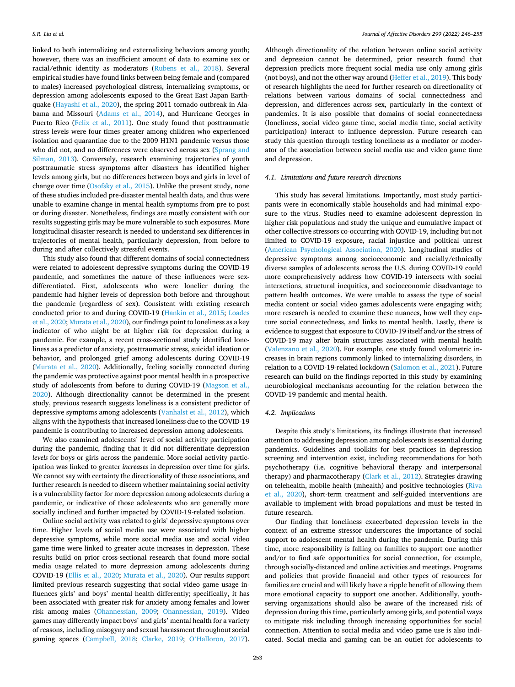linked to both internalizing and externalizing behaviors among youth; however, there was an insufficient amount of data to examine sex or racial/ethnic identity as moderators ([Rubens et al., 2018](#page-11-0)). Several empirical studies have found links between being female and (compared to males) increased psychological distress, internalizing symptoms, or depression among adolescents exposed to the Great East Japan Earthquake [\(Hayashi et al., 2020](#page-11-0)), the spring 2011 tornado outbreak in Alabama and Missouri [\(Adams et al., 2014\)](#page-10-0), and Hurricane Georges in Puerto Rico [\(Felix et al., 2011](#page-10-0)). One study found that posttraumatic stress levels were four times greater among children who experienced isolation and quarantine due to the 2009 H1N1 pandemic versus those who did not, and no differences were observed across sex ([Sprang and](#page-11-0)  [Silman, 2013\)](#page-11-0). Conversely, research examining trajectories of youth posttraumatic stress symptoms after disasters has identified higher levels among girls, but no differences between boys and girls in level of change over time ([Osofsky et al., 2015](#page-11-0)). Unlike the present study, none of these studies included pre-disaster mental health data, and thus were unable to examine change in mental health symptoms from pre to post or during disaster. Nonetheless, findings are mostly consistent with our results suggesting girls may be more vulnerable to such exposures. More longitudinal disaster research is needed to understand sex differences in trajectories of mental health, particularly depression, from before to during and after collectively stressful events.

This study also found that different domains of social connectedness were related to adolescent depressive symptoms during the COVID-19 pandemic, and sometimes the nature of these influences were sexdifferentiated. First, adolescents who were lonelier during the pandemic had higher levels of depression both before and throughout the pandemic (regardless of sex). Consistent with existing research conducted prior to and during COVID-19 [\(Hankin et al., 2015](#page-11-0); [Loades](#page-11-0)  [et al., 2020](#page-11-0); [Murata et al., 2020](#page-11-0)), our findings point to loneliness as a key indicator of who might be at higher risk for depression during a pandemic. For example, a recent cross-sectional study identified loneliness as a predictor of anxiety, posttraumatic stress, suicidal ideation or behavior, and prolonged grief among adolescents during COVID-19 ([Murata et al., 2020](#page-11-0)). Additionally, feeling socially connected during the pandemic was protective against poor mental health in a prospective study of adolescents from before to during COVID-19 ([Magson et al.,](#page-11-0)  [2020\)](#page-11-0). Although directionality cannot be determined in the present study, previous research suggests loneliness is a consistent predictor of depressive symptoms among adolescents [\(Vanhalst et al., 2012\)](#page-11-0), which aligns with the hypothesis that increased loneliness due to the COVID-19 pandemic is contributing to increased depression among adolescents.

We also examined adolescents' level of social activity participation during the pandemic, finding that it did not differentiate depression *levels* for boys or girls across the pandemic. More social activity participation was linked to greater *increases* in depression over time for girls. We cannot say with certainty the directionality of these associations, and further research is needed to discern whether maintaining social activity is a vulnerability factor for more depression among adolescents during a pandemic, or indicative of those adolescents who are generally more socially inclined and further impacted by COVID-19-related isolation.

Online social activity was related to girls' depressive symptoms over time. Higher levels of social media use were associated with higher depressive symptoms, while more social media use and social video game time were linked to greater acute increases in depression. These results build on prior cross-sectional research that found more social media usage related to more depression among adolescents during COVID-19 [\(Ellis et al., 2020;](#page-10-0) [Murata et al., 2020\)](#page-11-0). Our results support limited previous research suggesting that social video game usage influences girls' and boys' mental health differently; specifically, it has been associated with greater risk for anxiety among females and lower risk among males ([Ohannessian, 2009;](#page-11-0) [Ohannessian, 2019](#page-11-0)). Video games may differently impact boys' and girls' mental health for a variety of reasons, including misogyny and sexual harassment throughout social gaming spaces ([Campbell, 2018](#page-10-0); [Clarke, 2019;](#page-10-0) O'[Halloron, 2017](#page-11-0)).

Although directionality of the relation between online social activity and depression cannot be determined, prior research found that depression predicts more frequent social media use only among girls (not boys), and not the other way around ([Heffer et al., 2019](#page-11-0)). This body of research highlights the need for further research on directionality of relations between various domains of social connectedness and depression, and differences across sex, particularly in the context of pandemics. It is also possible that domains of social connectedness (loneliness, social video game time, social media time, social activity participation) interact to influence depression. Future research can study this question through testing loneliness as a mediator or moderator of the association between social media use and video game time and depression.

## *4.1. Limitations and future research directions*

This study has several limitations. Importantly, most study participants were in economically stable households and had minimal exposure to the virus. Studies need to examine adolescent depression in higher risk populations and study the unique and cumulative impact of other collective stressors co-occurring with COVID-19, including but not limited to COVID-19 exposure, racial injustice and political unrest ([American Psychological Association, 2020](#page-10-0)). Longitudinal studies of depressive symptoms among socioeconomic and racially/ethnically diverse samples of adolescents across the U.S. during COVID-19 could more comprehensively address how COVID-19 intersects with social interactions, structural inequities, and socioeconomic disadvantage to pattern health outcomes. We were unable to assess the type of social media content or social video games adolescents were engaging with; more research is needed to examine these nuances, how well they capture social connectedness, and links to mental health. Lastly, there is evidence to suggest that exposure to COVID-19 itself and/or the stress of COVID-19 may alter brain structures associated with mental health ([Valenzano et al., 2020\)](#page-11-0). For example, one study found volumetric increases in brain regions commonly linked to internalizing disorders, in relation to a COVID-19-related lockdown [\(Salomon et al., 2021](#page-11-0)). Future research can build on the findings reported in this study by examining neurobiological mechanisms accounting for the relation between the COVID-19 pandemic and mental health.

## *4.2. Implications*

Despite this study's limitations, its findings illustrate that increased attention to addressing depression among adolescents is essential during pandemics. Guidelines and toolkits for best practices in depression screening and intervention exist, including recommendations for both psychotherapy (i.e. cognitive behavioral therapy and interpersonal therapy) and pharmacotherapy [\(Clark et al., 2012](#page-10-0)). Strategies drawing on telehealth, mobile health (mhealth) and positive technologies ([Riva](#page-11-0)  [et al., 2020\)](#page-11-0), short-term treatment and self-guided interventions are available to implement with broad populations and must be tested in future research.

Our finding that loneliness exacerbated depression levels in the context of an extreme stressor underscores the importance of social support to adolescent mental health during the pandemic. During this time, more responsibility is falling on families to support one another and/or to find safe opportunities for social connection, for example, through socially-distanced and online activities and meetings. Programs and policies that provide financial and other types of resources for families are crucial and will likely have a ripple benefit of allowing them more emotional capacity to support one another. Additionally, youthserving organizations should also be aware of the increased risk of depression during this time, particularly among girls, and potential ways to mitigate risk including through increasing opportunities for social connection. Attention to social media and video game use is also indicated. Social media and gaming can be an outlet for adolescents to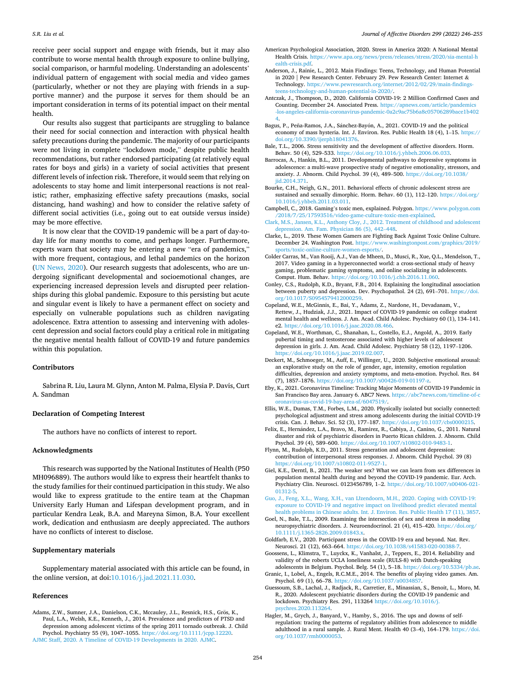<span id="page-10-0"></span>receive peer social support and engage with friends, but it may also contribute to worse mental health through exposure to online bullying, social comparison, or harmful modeling. Understanding an adolescents' individual pattern of engagement with social media and video games (particularly, whether or not they are playing with friends in a supportive manner) and the purpose it serves for them should be an important consideration in terms of its potential impact on their mental health.

Our results also suggest that participants are struggling to balance their need for social connection and interaction with physical health safety precautions during the pandemic. The majority of our participants were not living in complete "lockdown mode," despite public health recommendations, but rather endorsed participating (at relatively equal rates for boys and girls) in a variety of social activities that present different levels of infection risk. Therefore, it would seem that relying on adolescents to stay home and limit interpersonal reactions is not realistic; rather, emphasizing effective safety precautions (masks, social distancing, hand washing) and how to consider the relative safety of different social activities (i.e., going out to eat outside versus inside) may be more effective.

It is now clear that the COVID-19 pandemic will be a part of day-today life for many months to come, and perhaps longer. Furthermore, experts warn that society may be entering a new "era of pandemics," with more frequent, contagious, and lethal pandemics on the horizon ([UN News, 2020](#page-11-0)). Our research suggests that adolescents, who are undergoing significant developmental and socioemotional changes, are experiencing increased depression levels and disrupted peer relationships during this global pandemic. Exposure to this persisting but acute and singular event is likely to have a permanent effect on society and especially on vulnerable populations such as children navigating adolescence. Extra attention to assessing and intervening with adolescent depression and social factors could play a critical role in mitigating the negative mental health fallout of COVID-19 and future pandemics within this population.

### **Contributors**

Sabrina R. Liu, Laura M. Glynn, Anton M. Palma, Elysia P. Davis, Curt A. Sandman

## **Declaration of Competing Interest**

The authors have no conflicts of interest to report.

### **Acknowledgments**

This research was supported by the National Institutes of Health (P50 MH096889). The authors would like to express their heartfelt thanks to the study families for their continued participation in this study. We also would like to express gratitude to the entire team at the Chapman University Early Human and Lifespan development program, and in particular Kendra Leak, B.A. and Mareyna Simon, B.A. Your excellent work, dedication and enthusiasm are deeply appreciated. The authors have no conflicts of interest to disclose.

### **Supplementary materials**

Supplementary material associated with this article can be found, in the online version, at doi:[10.1016/j.jad.2021.11.030](https://doi.org/10.1016/j.jad.2021.11.030).

### **References**

Adams, Z.W., Sumner, J.A., Danielson, C.K., Mccauley, J.L., Resnick, H.S., Grös, K., Paul, L.A., Welsh, K.E., Kenneth, J., 2014. Prevalence and predictors of PTSD and depression among adolescent victims of the spring 2011 tornado outbreak. J. Child Psychol. Psychiatry 55 (9), 1047–1055. [https://doi.org/10.1111/jcpp.12220.](https://doi.org/10.1111/jcpp.12220) [AJMC Staff, 2020. A Timeline of COVID-19 Developments in 2020. AJMC.](http://refhub.elsevier.com/S0165-0327(21)01251-9/sbref0002)

- American Psychological Association, 2020. Stress in America 2020: A National Mental Health Crisis. [https://www.apa.org/news/press/releases/stress/2020/sia-mental-h](https://www.apa.org/news/press/releases/stress/2020/sia-mental-health-crisis.pdf)  [ealth-crisis.pdf](https://www.apa.org/news/press/releases/stress/2020/sia-mental-health-crisis.pdf).
- Anderson, J., Rainie, L., 2012. Main Findings: Teens, Technology, and Human Potential in 2020 | Pew Research Center. February 29. Pew Research Center: Internet & Technology. [https://www.pewresearch.org/internet/2012/02/29/main-findings](https://www.pewresearch.org/internet/2012/02/29/main-findings-teens-technology-and-human-potential-in-2020/)[teens-technology-and-human-potential-in-2020/.](https://www.pewresearch.org/internet/2012/02/29/main-findings-teens-technology-and-human-potential-in-2020/)
- Antczak, J., Thompson, D., 2020. California COVID-19: 2 Million Confirmed Cases and Counting. December 24. Associated Press. https://apnews.com/article/pandemi [-los-angeles-california-coronavirus-pandemic-0a2c9ac75b6a8c05706289bace1b402](https://apnews.com/article/pandemics-los-angeles-california-coronavirus-pandemic-0a2c9ac75b6a8c05706289bace1b4024)  [4](https://apnews.com/article/pandemics-los-angeles-california-coronavirus-pandemic-0a2c9ac75b6a8c05706289bace1b4024).
- Bagus, P., Peña-Ramos, J.A., Sánchez-Bayón, A., 2021. COVID-19 and the political economy of mass hysteria. Int. J. Environ. Res. Public Health 18 (4), 1–15. [https://](https://doi.org/10.3390/ijerph18041376)  [doi.org/10.3390/ijerph18041376.](https://doi.org/10.3390/ijerph18041376)
- Bale, T.L., 2006. Stress sensitivity and the development of affective disorders. Horm. Behav. 50 (4), 529–533. <https://doi.org/10.1016/j.yhbeh.2006.06.033>.
- Barrocas, A., Hankin, B.L., 2011. Developmental pathways to depressive symptoms in adolescence: a multi-wave prospective study of negative emotionality, stressors, and anxiety. J. Abnorm. Child Psychol. 39 (4), 489–500. [https://doi.org/10.1038/](https://doi.org/10.1038/jid.2014.371)  iid.2014.371.
- Bourke, C.H., Neigh, G.N., 2011. Behavioral effects of chronic adolescent stress are sustained and sexually dimorphic. Horm. Behav. 60 (1), 112-120. [https://doi.org/](https://doi.org/10.1016/j.yhbeh.2011.03.011) [10.1016/j.yhbeh.2011.03.011.](https://doi.org/10.1016/j.yhbeh.2011.03.011)
- Campbell, C., 2018. Gaming's toxic men, explained. Polygon. [https://www.polygon.com](https://www.polygon.com/2018/7/25/17593516/video-game-culture-toxic-men-explained)  [/2018/7/25/17593516/video-game-culture-toxic-men-explained](https://www.polygon.com/2018/7/25/17593516/video-game-culture-toxic-men-explained).
- [Clark, M.S., Jansen, K.L., Anthony Cloy, J., 2012. Treatment of childhood and adolescent](http://refhub.elsevier.com/S0165-0327(21)01251-9/sbref0013)  [depression. Am. Fam. Physician 86 \(5\), 442](http://refhub.elsevier.com/S0165-0327(21)01251-9/sbref0013)–448.
- Clarke, L., 2019. These Women Gamers are Fighting Back Against Toxic Online Culture. December 24. Washington Post. [https://www.washingtonpost.com/graphics/2019/](https://www.washingtonpost.com/graphics/2019/sports/toxic-online-culture-women-esports/)  [sports/toxic-online-culture-women-esports/.](https://www.washingtonpost.com/graphics/2019/sports/toxic-online-culture-women-esports/)
- Colder Carras, M., Van Rooij, A.J., Van de Mheen, D., Musci, R., Xue, Q.L., Mendelson, T., 2017. Video gaming in a hyperconnected world: a cross-sectional study of heavy gaming, problematic gaming symptoms, and online socializing in adolescents. Comput. Hum. Behav. [https://doi.org/10.1016/j.chb.2016.11.060.](https://doi.org/10.1016/j.chb.2016.11.060)
- Conley, C.S., Rudolph, K.D., Bryant, F.B., 2014. Explaining the longitudinal association between puberty and depression. Dev. Psychopathol. 24 (2), 691–701. [https://doi.](https://doi.org/10.1017/S0954579412000259) [org/10.1017/S0954579412000259](https://doi.org/10.1017/S0954579412000259).
- Copeland, W.E., McGinnis, E., Bai, Y., Adams, Z., Nardone, H., Devadanam, V., Rettew, J., Hudziak, J.J., 2021. Impact of COVID-19 pandemic on college student mental health and wellness. J. Am. Acad. Child Adolesc. Psychiatry 60 (1), 134–141. e2. [https://doi.org/10.1016/j.jaac.2020.08.466.](https://doi.org/10.1016/j.jaac.2020.08.466)
- Copeland, W.E., Worthman, C., Shanahan, L., Costello, E.J., Angold, A., 2019. Early pubertal timing and testosterone associated with higher levels of adolescent depression in girls. J. Am. Acad. Child Adolesc. Psychiatry 58 (12), 1197–1206. [https://doi.org/10.1016/j.jaac.2019.02.007.](https://doi.org/10.1016/j.jaac.2019.02.007)
- Deckert, M., Schmoeger, M., Auff, E., Willinger, U., 2020. Subjective emotional arousal: an explorative study on the role of gender, age, intensity, emotion regulation difficulties, depression and anxiety symptoms, and meta-emotion. Psychol. Res. 84 (7), 1857–1876. [https://doi.org/10.1007/s00426-019-01197-z.](https://doi.org/10.1007/s00426-019-01197-z)
- Eby, K., 2021. Coronavirus Timeline: Tracking Major Moments of COVID-19 Pandemic in San Francisco Bay area. January 6. ABC7 News. [https://abc7news.com/timeline-of-c](https://abc7news.com/timeline-of-coronavirus-us-covid-19-bay-area-sf/6047519/)  [oronavirus-us-covid-19-bay-area-sf/6047519/.](https://abc7news.com/timeline-of-coronavirus-us-covid-19-bay-area-sf/6047519/)
- Ellis, W.E., Dumas, T.M., Forbes, L.M., 2020. Physically isolated but socially connected: psychological adjustment and stress among adolescents during the initial COVID-19 crisis. Can. J. Behav. Sci. 52 (3), 177–187. <https://doi.org/10.1037/cbs0000215>.
- Felix, E., Hernández, L.A., Bravo, M., Ramirez, R., Cabiya, J., Canino, G., 2011. Natural disaster and risk of psychiatric disorders in Puerto Rican children. J. Abnorm. Child Psychol. 39 (4), 589–600.<https://doi.org/10.1007/s10802-010-9483-1>.
- Flynn, M., Rudolph, K.D., 2011. Stress generation and adolescent depression: contribution of interpersonal stress responses. J. Abnorm. Child Psychol. 39 (8) [https://doi.org/10.1007/s10802-011-9527-1.](https://doi.org/10.1007/s10802-011-9527-1)
- Giel, K.E., Derntl, B., 2021. The weaker sex? What we can learn from sex differences in population mental health during and beyond the COVID-19 pandemic. Eur. Arch. Psychiatry Clin. Neurosci. 0123456789, 1–2. [https://doi.org/10.1007/s00406-021-](https://doi.org/10.1007/s00406-021-01312-5) [01312-5](https://doi.org/10.1007/s00406-021-01312-5).
- [Guo, J., Feng, X.L., Wang, X.H., van IJzendoorn, M.H., 2020. Coping with COVID-19:](http://refhub.elsevier.com/S0165-0327(21)01251-9/sbref0026)  [exposure to COVID-19 and negative impact on livelihood predict elevated mental](http://refhub.elsevier.com/S0165-0327(21)01251-9/sbref0026) [health problems in Chinese adults. Int. J. Environ. Res. Public Health 17 \(11\), 3857.](http://refhub.elsevier.com/S0165-0327(21)01251-9/sbref0026)
- Goel, N., Bale, T.L., 2009. Examining the intersection of sex and stress in modeling neuropsychiatric disorders. J. Neuroendocrinol. 21 (4), 415–420. [https://doi.org/](https://doi.org/10.1111/j.1365-2826.2009.01843.x)  [10.1111/j.1365-2826.2009.01843.x](https://doi.org/10.1111/j.1365-2826.2009.01843.x).
- Goldfarb, E.V., 2020. Participant stress in the COVID-19 era and beyond. Nat. Rev. Neurosci. 21 (12), 663–664. [https://doi.org/10.1038/s41583-020-00388-7.](https://doi.org/10.1038/s41583-020-00388-7)
- Goossens, L., Klimstra, T., Luyckx, K., Vanhalst, J., Teppers, E., 2014. Reliability and validity of the roberts UCLA loneliness scale (RULS-8) with Dutch-speaking adolescents in Belgium. Psychol. Belg. 54 (1), 5–18. [https://doi.org/10.5334/pb.ae.](https://doi.org/10.5334/pb.ae)
- Granic, I., Lobel, A., Engels, R.C.M.E., 2014. The benefits of playing video games. Am. Psychol. 69 (1), 66-78. https://doi.org/10.1037/a003485
- Guessoum, S.B., Lachal, J., Radjack, R., Carretier, E., Minassian, S., Benoit, L., Moro, M. R., 2020. Adolescent psychiatric disorders during the COVID-19 pandemic and lockdown. Psychiatry Res. 291, 113264 [https://doi.org/10.1016/j.](https://doi.org/10.1016/j.psychres.2020.113264)  [psychres.2020.113264](https://doi.org/10.1016/j.psychres.2020.113264).
- Hagler, M., Grych, J., Banyard, V., Hamby, S., 2016. The ups and downs of selfregulation: tracing the patterns of regulatory abilities from adolescence to middle adulthood in a rural sample. J. Rural Ment. Health 40 (3–4), 164–179. [https://doi.](https://doi.org/10.1037/rmh0000053)  [org/10.1037/rmh0000053](https://doi.org/10.1037/rmh0000053).